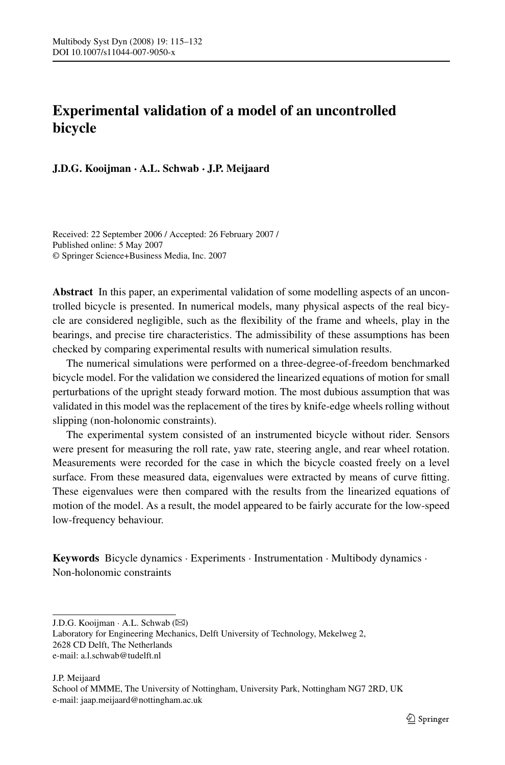# **Experimental validation of a model of an uncontrolled bicycle**

**J.D.G. Kooijman · A.L. Schwab · J.P. Meijaard**

Received: 22 September 2006 / Accepted: 26 February 2007 / Published online: 5 May 2007 © Springer Science+Business Media, Inc. 2007

**Abstract** In this paper, an experimental validation of some modelling aspects of an uncontrolled bicycle is presented. In numerical models, many physical aspects of the real bicycle are considered negligible, such as the flexibility of the frame and wheels, play in the bearings, and precise tire characteristics. The admissibility of these assumptions has been checked by comparing experimental results with numerical simulation results.

The numerical simulations were performed on a three-degree-of-freedom benchmarked bicycle model. For the validation we considered the linearized equations of motion for small perturbations of the upright steady forward motion. The most dubious assumption that was validated in this model was the replacement of the tires by knife-edge wheels rolling without slipping (non-holonomic constraints).

The experimental system consisted of an instrumented bicycle without rider. Sensors were present for measuring the roll rate, yaw rate, steering angle, and rear wheel rotation. Measurements were recorded for the case in which the bicycle coasted freely on a level surface. From these measured data, eigenvalues were extracted by means of curve fitting. These eigenvalues were then compared with the results from the linearized equations of motion of the model. As a result, the model appeared to be fairly accurate for the low-speed low-frequency behaviour.

**Keywords** Bicycle dynamics · Experiments · Instrumentation · Multibody dynamics · Non-holonomic constraints

J.P. Meijaard School of MMME, The University of Nottingham, University Park, Nottingham NG7 2RD, UK e-mail: jaap.meijaard@nottingham.ac.uk

J.D.G. Kooijman · A.L. Schwab (⊠) Laboratory for Engineering Mechanics, Delft University of Technology, Mekelweg 2, 2628 CD Delft, The Netherlands e-mail: a.l.schwab@tudelft.nl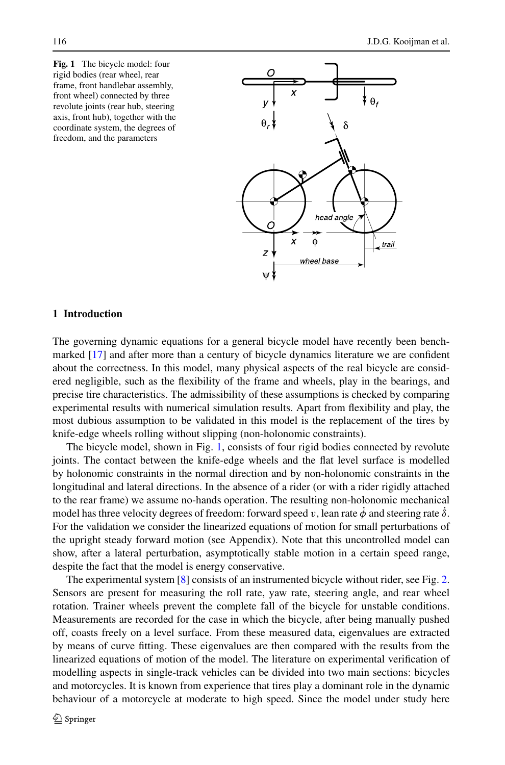<span id="page-1-0"></span>



## **1 Introduction**

The governing dynamic equations for a general bicycle model have recently been benchmarked [\[17\]](#page-17-0) and after more than a century of bicycle dynamics literature we are confident about the correctness. In this model, many physical aspects of the real bicycle are considered negligible, such as the flexibility of the frame and wheels, play in the bearings, and precise tire characteristics. The admissibility of these assumptions is checked by comparing experimental results with numerical simulation results. Apart from flexibility and play, the most dubious assumption to be validated in this model is the replacement of the tires by knife-edge wheels rolling without slipping (non-holonomic constraints).

The bicycle model, shown in Fig. 1, consists of four rigid bodies connected by revolute joints. The contact between the knife-edge wheels and the flat level surface is modelled by holonomic constraints in the normal direction and by non-holonomic constraints in the longitudinal and lateral directions. In the absence of a rider (or with a rider rigidly attached to the rear frame) we assume no-hands operation. The resulting non-holonomic mechanical model has three velocity degrees of freedom: forward speed *v*, lean rate  $\dot{\phi}$  and steering rate  $\dot{\delta}$ . For the validation we consider the linearized equations of motion for small perturbations of the upright steady forward motion (see Appendix). Note that this uncontrolled model can show, after a lateral perturbation, asymptotically stable motion in a certain speed range, despite the fact that the model is energy conservative.

The experimental system [\[8\]](#page-16-0) consists of an instrumented bicycle without rider, see Fig. [2](#page-2-0). Sensors are present for measuring the roll rate, yaw rate, steering angle, and rear wheel rotation. Trainer wheels prevent the complete fall of the bicycle for unstable conditions. Measurements are recorded for the case in which the bicycle, after being manually pushed off, coasts freely on a level surface. From these measured data, eigenvalues are extracted by means of curve fitting. These eigenvalues are then compared with the results from the linearized equations of motion of the model. The literature on experimental verification of modelling aspects in single-track vehicles can be divided into two main sections: bicycles and motorcycles. It is known from experience that tires play a dominant role in the dynamic behaviour of a motorcycle at moderate to high speed. Since the model under study here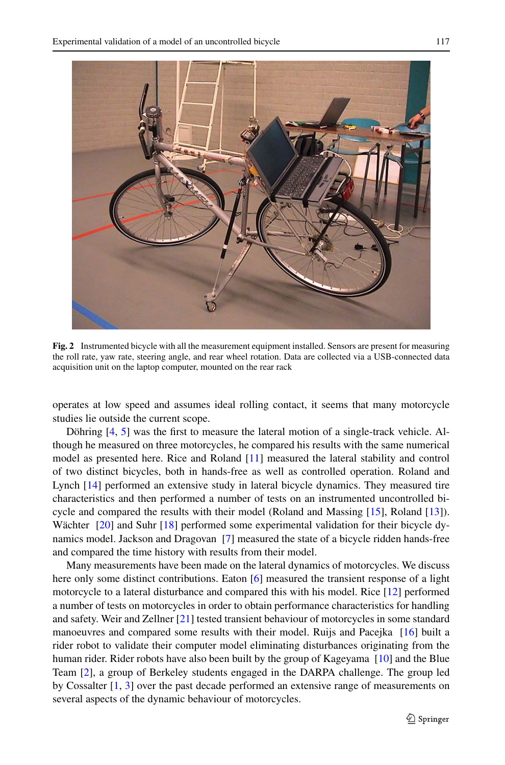<span id="page-2-0"></span>

**Fig. 2** Instrumented bicycle with all the measurement equipment installed. Sensors are present for measuring the roll rate, yaw rate, steering angle, and rear wheel rotation. Data are collected via a USB-connected data acquisition unit on the laptop computer, mounted on the rear rack

operates at low speed and assumes ideal rolling contact, it seems that many motorcycle studies lie outside the current scope.

Döhring [\[4](#page-16-0), [5](#page-16-0)] was the first to measure the lateral motion of a single-track vehicle. Although he measured on three motorcycles, he compared his results with the same numerical model as presented here. Rice and Roland [[11](#page-16-0)] measured the lateral stability and control of two distinct bicycles, both in hands-free as well as controlled operation. Roland and Lynch [[14](#page-17-0)] performed an extensive study in lateral bicycle dynamics. They measured tire characteristics and then performed a number of tests on an instrumented uncontrolled bicycle and compared the results with their model (Roland and Massing [\[15\]](#page-17-0), Roland [\[13\]](#page-16-0)). Wächter [[20](#page-17-0)] and Suhr [\[18\]](#page-17-0) performed some experimental validation for their bicycle dynamics model. Jackson and Dragovan [\[7](#page-16-0)] measured the state of a bicycle ridden hands-free and compared the time history with results from their model.

Many measurements have been made on the lateral dynamics of motorcycles. We discuss here only some distinct contributions. Eaton [\[6\]](#page-16-0) measured the transient response of a light motorcycle to a lateral disturbance and compared this with his model. Rice [[12](#page-16-0)] performed a number of tests on motorcycles in order to obtain performance characteristics for handling and safety. Weir and Zellner [[21](#page-17-0)] tested transient behaviour of motorcycles in some standard manoeuvres and compared some results with their model. Ruijs and Pacejka [\[16\]](#page-17-0) built a rider robot to validate their computer model eliminating disturbances originating from the human rider. Rider robots have also been built by the group of Kageyama [\[10\]](#page-16-0) and the Blue Team [\[2\]](#page-16-0), a group of Berkeley students engaged in the DARPA challenge. The group led by Cossalter [[1,](#page-16-0) [3](#page-16-0)] over the past decade performed an extensive range of measurements on several aspects of the dynamic behaviour of motorcycles.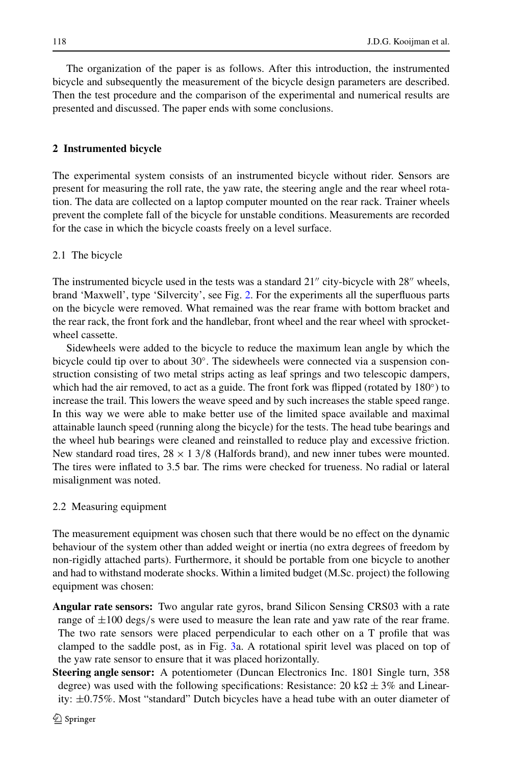The organization of the paper is as follows. After this introduction, the instrumented bicycle and subsequently the measurement of the bicycle design parameters are described. Then the test procedure and the comparison of the experimental and numerical results are presented and discussed. The paper ends with some conclusions.

## **2 Instrumented bicycle**

The experimental system consists of an instrumented bicycle without rider. Sensors are present for measuring the roll rate, the yaw rate, the steering angle and the rear wheel rotation. The data are collected on a laptop computer mounted on the rear rack. Trainer wheels prevent the complete fall of the bicycle for unstable conditions. Measurements are recorded for the case in which the bicycle coasts freely on a level surface.

# 2.1 The bicycle

The instrumented bicycle used in the tests was a standard 21" city-bicycle with 28" wheels, brand 'Maxwell', type 'Silvercity', see Fig. [2](#page-2-0). For the experiments all the superfluous parts on the bicycle were removed. What remained was the rear frame with bottom bracket and the rear rack, the front fork and the handlebar, front wheel and the rear wheel with sprocketwheel cassette.

Sidewheels were added to the bicycle to reduce the maximum lean angle by which the bicycle could tip over to about 30◦. The sidewheels were connected via a suspension construction consisting of two metal strips acting as leaf springs and two telescopic dampers, which had the air removed, to act as a guide. The front fork was flipped (rotated by 180<sup>°</sup>) to increase the trail. This lowers the weave speed and by such increases the stable speed range. In this way we were able to make better use of the limited space available and maximal attainable launch speed (running along the bicycle) for the tests. The head tube bearings and the wheel hub bearings were cleaned and reinstalled to reduce play and excessive friction. New standard road tires,  $28 \times 13/8$  (Halfords brand), and new inner tubes were mounted. The tires were inflated to 3.5 bar. The rims were checked for trueness. No radial or lateral misalignment was noted.

## 2.2 Measuring equipment

The measurement equipment was chosen such that there would be no effect on the dynamic behaviour of the system other than added weight or inertia (no extra degrees of freedom by non-rigidly attached parts). Furthermore, it should be portable from one bicycle to another and had to withstand moderate shocks. Within a limited budget (M.Sc. project) the following equipment was chosen:

- **Angular rate sensors:** Two angular rate gyros, brand Silicon Sensing CRS03 with a rate range of ±100 degs*/*s were used to measure the lean rate and yaw rate of the rear frame. The two rate sensors were placed perpendicular to each other on a T profile that was clamped to the saddle post, as in Fig. [3a](#page-4-0). A rotational spirit level was placed on top of the yaw rate sensor to ensure that it was placed horizontally.
- **Steering angle sensor:** A potentiometer (Duncan Electronics Inc. 1801 Single turn, 358 degree) was used with the following specifications: Resistance: 20 k $\Omega \pm 3\%$  and Linearity: ±0*.*75%. Most "standard" Dutch bicycles have a head tube with an outer diameter of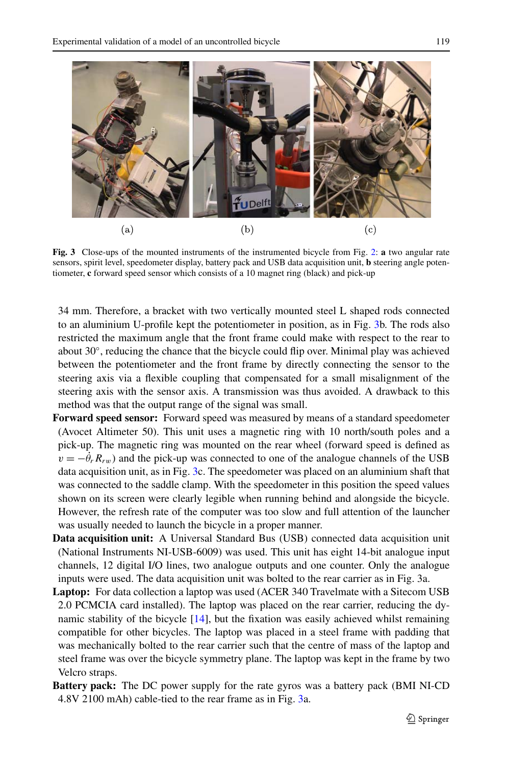<span id="page-4-0"></span>

**Fig. 3** Close-ups of the mounted instruments of the instrumented bicycle from Fig. [2:](#page-2-0) **a** two angular rate sensors, spirit level, speedometer display, battery pack and USB data acquisition unit, **b** steering angle potentiometer, **c** forward speed sensor which consists of a 10 magnet ring (black) and pick-up

34 mm. Therefore, a bracket with two vertically mounted steel L shaped rods connected to an aluminium U-profile kept the potentiometer in position, as in Fig. 3b. The rods also restricted the maximum angle that the front frame could make with respect to the rear to about 30◦, reducing the chance that the bicycle could flip over. Minimal play was achieved between the potentiometer and the front frame by directly connecting the sensor to the steering axis via a flexible coupling that compensated for a small misalignment of the steering axis with the sensor axis. A transmission was thus avoided. A drawback to this method was that the output range of the signal was small.

- **Forward speed sensor:** Forward speed was measured by means of a standard speedometer (Avocet Altimeter 50). This unit uses a magnetic ring with 10 north/south poles and a pick-up. The magnetic ring was mounted on the rear wheel (forward speed is defined as  $v = -\dot{\theta}_r R_{rw}$ ) and the pick-up was connected to one of the analogue channels of the USB data acquisition unit, as in Fig. 3c. The speedometer was placed on an aluminium shaft that was connected to the saddle clamp. With the speedometer in this position the speed values shown on its screen were clearly legible when running behind and alongside the bicycle. However, the refresh rate of the computer was too slow and full attention of the launcher was usually needed to launch the bicycle in a proper manner.
- **Data acquisition unit:** A Universal Standard Bus (USB) connected data acquisition unit (National Instruments NI-USB-6009) was used. This unit has eight 14-bit analogue input channels, 12 digital I/O lines, two analogue outputs and one counter. Only the analogue inputs were used. The data acquisition unit was bolted to the rear carrier as in Fig. 3a.
- **Laptop:** For data collection a laptop was used (ACER 340 Travelmate with a Sitecom USB 2.0 PCMCIA card installed). The laptop was placed on the rear carrier, reducing the dynamic stability of the bicycle [[14](#page-17-0)], but the fixation was easily achieved whilst remaining compatible for other bicycles. The laptop was placed in a steel frame with padding that was mechanically bolted to the rear carrier such that the centre of mass of the laptop and steel frame was over the bicycle symmetry plane. The laptop was kept in the frame by two Velcro straps.
- **Battery pack:** The DC power supply for the rate gyros was a battery pack (BMI NI-CD 4.8V 2100 mAh) cable-tied to the rear frame as in Fig. 3a.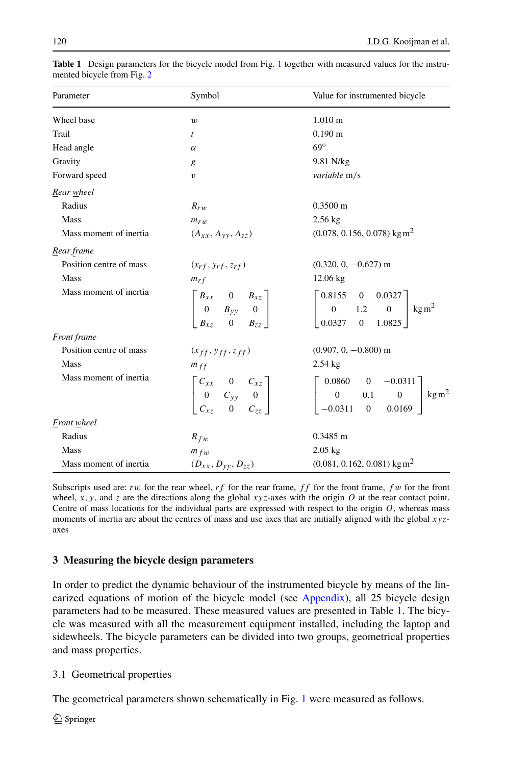| Parameter                 | Symbol                                                                                       | Value for instrumented bicycle                                                                             |
|---------------------------|----------------------------------------------------------------------------------------------|------------------------------------------------------------------------------------------------------------|
| Wheel base                | $\boldsymbol{w}$                                                                             | $1.010 \text{ m}$                                                                                          |
| Trail                     | t                                                                                            | $0.190 \text{ m}$                                                                                          |
| Head angle                | $\alpha$                                                                                     | $69^\circ$                                                                                                 |
| Gravity                   | g                                                                                            | 9.81 N/kg                                                                                                  |
| Forward speed             | $\upsilon$                                                                                   | variable m/s                                                                                               |
| Rear wheel                |                                                                                              |                                                                                                            |
| Radius                    | $R_{\mu\nu}$                                                                                 | $0.3500 \text{ m}$                                                                                         |
| Mass                      | $m_{rw}$                                                                                     | $2.56$ kg                                                                                                  |
| Mass moment of inertia    | $(A_{xx}, A_{yy}, A_{zz})$                                                                   | $(0.078, 0.156, 0.078)$ kg m <sup>2</sup>                                                                  |
| Rear frame                |                                                                                              |                                                                                                            |
| Position centre of mass   | $(x_{rf}, y_{rf}, z_{rf})$                                                                   | $(0.320, 0, -0.627)$ m                                                                                     |
| Mass                      | $m_{rf}$                                                                                     | $12.06 \text{ kg}$                                                                                         |
| Mass moment of inertia    | $\begin{bmatrix} B_{XX} & 0 & B_{XZ} \\ 0 & B_{yy} & 0 \\ B_{xz} & 0 & B_{zz} \end{bmatrix}$ | $\begin{bmatrix} 0.8155 & 0 & 0.0327 \\ 0 & 1.2 & 0 \\ 0.0327 & 0 & 1.0825 \end{bmatrix} \text{ kg m}^2$   |
| <b><i>Eront frame</i></b> |                                                                                              |                                                                                                            |
| Position centre of mass   | $(x_{ff}, y_{ff}, z_{ff})$                                                                   | $(0.907, 0, -0.800)$ m                                                                                     |
| Mass                      | $m_{ff}$                                                                                     | $2.54$ kg                                                                                                  |
| Mass moment of inertia    | $\begin{bmatrix} C_{xx} & 0 & C_{xz} \\ 0 & C_{yy} & 0 \\ C_{yz} & 0 & C_{zz} \end{bmatrix}$ | $\begin{bmatrix} 0.0860 & 0 & -0.0311 \\ 0 & 0.1 & 0 \\ -0.0311 & 0 & 0.0169 \end{bmatrix} \text{ kg m}^2$ |
| <b>Front</b> wheel        |                                                                                              |                                                                                                            |
| Radius                    | $R_{fw}$                                                                                     | 0.3485 m                                                                                                   |
| <b>Mass</b>               | $m_f$                                                                                        | $2.05$ kg                                                                                                  |
| Mass moment of inertia    | $(D_{xx}, D_{yy}, D_{zz})$                                                                   | $(0.081, 0.162, 0.081)$ kg m <sup>2</sup>                                                                  |

<span id="page-5-0"></span>**Table 1** Design parameters for the bicycle model from Fig. [1](#page-1-0) together with measured values for the instrumented bicycle from Fig. [2](#page-2-0)

Subscripts used are:  $rw$  for the rear wheel,  $rf$  for the rear frame,  $ff$  for the front frame,  $fw$  for the front wheel,  $x, y$ , and  $z$  are the directions along the global  $xyz$ -axes with the origin  $O$  at the rear contact point. Centre of mass locations for the individual parts are expressed with respect to the origin *O*, whereas mass moments of inertia are about the centres of mass and use axes that are initially aligned with the global *xyz*axes

## **3 Measuring the bicycle design parameters**

In order to predict the dynamic behaviour of the instrumented bicycle by means of the linearized equations of motion of the bicycle model (see [Appendix](#page-14-0)), all 25 bicycle design parameters had to be measured. These measured values are presented in Table 1. The bicycle was measured with all the measurement equipment installed, including the laptop and sidewheels. The bicycle parameters can be divided into two groups, geometrical properties and mass properties.

## 3.1 Geometrical properties

The geometrical parameters shown schematically in Fig. [1](#page-1-0) were measured as follows.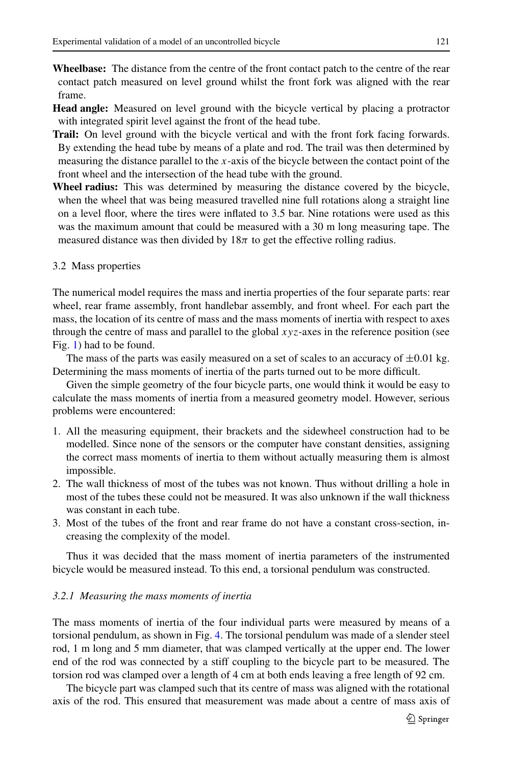- **Wheelbase:** The distance from the centre of the front contact patch to the centre of the rear contact patch measured on level ground whilst the front fork was aligned with the rear frame.
- **Head angle:** Measured on level ground with the bicycle vertical by placing a protractor with integrated spirit level against the front of the head tube.
- **Trail:** On level ground with the bicycle vertical and with the front fork facing forwards. By extending the head tube by means of a plate and rod. The trail was then determined by measuring the distance parallel to the *x*-axis of the bicycle between the contact point of the front wheel and the intersection of the head tube with the ground.
- **Wheel radius:** This was determined by measuring the distance covered by the bicycle, when the wheel that was being measured travelled nine full rotations along a straight line on a level floor, where the tires were inflated to 3.5 bar. Nine rotations were used as this was the maximum amount that could be measured with a 30 m long measuring tape. The measured distance was then divided by  $18\pi$  to get the effective rolling radius.

#### 3.2 Mass properties

The numerical model requires the mass and inertia properties of the four separate parts: rear wheel, rear frame assembly, front handlebar assembly, and front wheel. For each part the mass, the location of its centre of mass and the mass moments of inertia with respect to axes through the centre of mass and parallel to the global *xyz*-axes in the reference position (see Fig. [1\)](#page-1-0) had to be found.

The mass of the parts was easily measured on a set of scales to an accuracy of  $\pm 0.01$  kg. Determining the mass moments of inertia of the parts turned out to be more difficult.

Given the simple geometry of the four bicycle parts, one would think it would be easy to calculate the mass moments of inertia from a measured geometry model. However, serious problems were encountered:

- 1. All the measuring equipment, their brackets and the sidewheel construction had to be modelled. Since none of the sensors or the computer have constant densities, assigning the correct mass moments of inertia to them without actually measuring them is almost impossible.
- 2. The wall thickness of most of the tubes was not known. Thus without drilling a hole in most of the tubes these could not be measured. It was also unknown if the wall thickness was constant in each tube.
- 3. Most of the tubes of the front and rear frame do not have a constant cross-section, increasing the complexity of the model.

Thus it was decided that the mass moment of inertia parameters of the instrumented bicycle would be measured instead. To this end, a torsional pendulum was constructed.

#### *3.2.1 Measuring the mass moments of inertia*

The mass moments of inertia of the four individual parts were measured by means of a torsional pendulum, as shown in Fig. [4.](#page-7-0) The torsional pendulum was made of a slender steel rod, 1 m long and 5 mm diameter, that was clamped vertically at the upper end. The lower end of the rod was connected by a stiff coupling to the bicycle part to be measured. The torsion rod was clamped over a length of 4 cm at both ends leaving a free length of 92 cm.

The bicycle part was clamped such that its centre of mass was aligned with the rotational axis of the rod. This ensured that measurement was made about a centre of mass axis of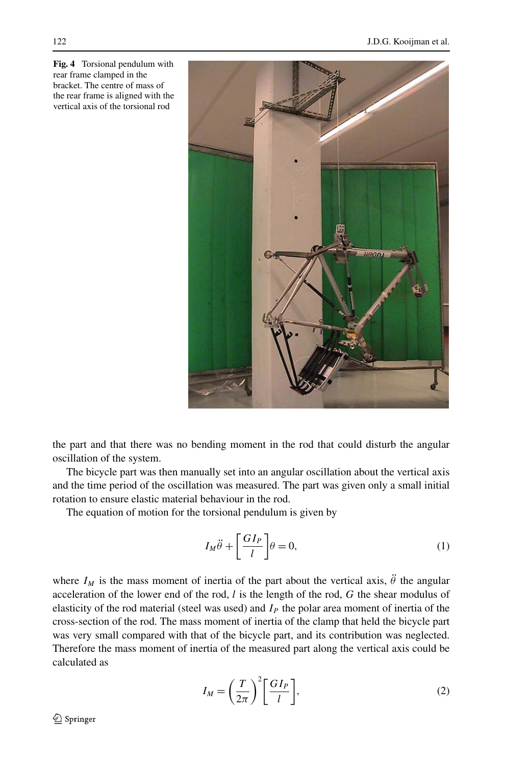

<span id="page-7-0"></span>**Fig. 4** Torsional pendulum with rear frame clamped in the bracket. The centre of mass of the rear frame is aligned with the vertical axis of the torsional rod

the part and that there was no bending moment in the rod that could disturb the angular oscillation of the system.

The bicycle part was then manually set into an angular oscillation about the vertical axis and the time period of the oscillation was measured. The part was given only a small initial rotation to ensure elastic material behaviour in the rod.

The equation of motion for the torsional pendulum is given by

$$
I_M \ddot{\theta} + \left[\frac{GI_P}{l}\right] \theta = 0,\tag{1}
$$

where  $I_M$  is the mass moment of inertia of the part about the vertical axis,  $\ddot{\theta}$  the angular acceleration of the lower end of the rod, *l* is the length of the rod, *G* the shear modulus of elasticity of the rod material (steel was used) and  $I<sub>P</sub>$  the polar area moment of inertia of the cross-section of the rod. The mass moment of inertia of the clamp that held the bicycle part was very small compared with that of the bicycle part, and its contribution was neglected. Therefore the mass moment of inertia of the measured part along the vertical axis could be calculated as

$$
I_M = \left(\frac{T}{2\pi}\right)^2 \left[\frac{GI_P}{l}\right],\tag{2}
$$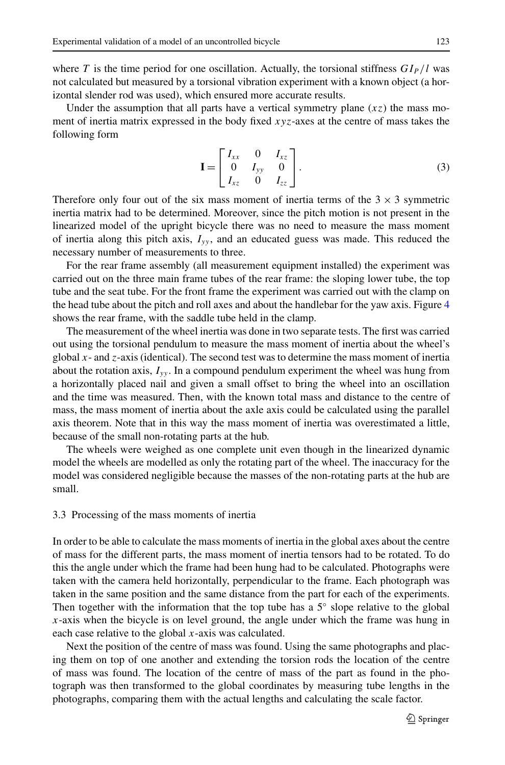<span id="page-8-0"></span>where *T* is the time period for one oscillation. Actually, the torsional stiffness  $GI_P/l$  was not calculated but measured by a torsional vibration experiment with a known object (a horizontal slender rod was used), which ensured more accurate results.

Under the assumption that all parts have a vertical symmetry plane  $(xz)$  the mass moment of inertia matrix expressed in the body fixed *xyz*-axes at the centre of mass takes the following form

$$
\mathbf{I} = \begin{bmatrix} I_{xx} & 0 & I_{xz} \\ 0 & I_{yy} & 0 \\ I_{xz} & 0 & I_{zz} \end{bmatrix} . \tag{3}
$$

Therefore only four out of the six mass moment of inertia terms of the  $3 \times 3$  symmetric inertia matrix had to be determined. Moreover, since the pitch motion is not present in the linearized model of the upright bicycle there was no need to measure the mass moment of inertia along this pitch axis,  $I_{yy}$ , and an educated guess was made. This reduced the necessary number of measurements to three.

For the rear frame assembly (all measurement equipment installed) the experiment was carried out on the three main frame tubes of the rear frame: the sloping lower tube, the top tube and the seat tube. For the front frame the experiment was carried out with the clamp on the head tube about the pitch and roll axes and about the handlebar for the yaw axis. Figure [4](#page-7-0) shows the rear frame, with the saddle tube held in the clamp.

The measurement of the wheel inertia was done in two separate tests. The first was carried out using the torsional pendulum to measure the mass moment of inertia about the wheel's global *x*- and *z*-axis (identical). The second test was to determine the mass moment of inertia about the rotation axis,  $I_{yy}$ . In a compound pendulum experiment the wheel was hung from a horizontally placed nail and given a small offset to bring the wheel into an oscillation and the time was measured. Then, with the known total mass and distance to the centre of mass, the mass moment of inertia about the axle axis could be calculated using the parallel axis theorem. Note that in this way the mass moment of inertia was overestimated a little, because of the small non-rotating parts at the hub.

The wheels were weighed as one complete unit even though in the linearized dynamic model the wheels are modelled as only the rotating part of the wheel. The inaccuracy for the model was considered negligible because the masses of the non-rotating parts at the hub are small.

#### 3.3 Processing of the mass moments of inertia

In order to be able to calculate the mass moments of inertia in the global axes about the centre of mass for the different parts, the mass moment of inertia tensors had to be rotated. To do this the angle under which the frame had been hung had to be calculated. Photographs were taken with the camera held horizontally, perpendicular to the frame. Each photograph was taken in the same position and the same distance from the part for each of the experiments. Then together with the information that the top tube has a  $5°$  slope relative to the global *x*-axis when the bicycle is on level ground, the angle under which the frame was hung in each case relative to the global *x*-axis was calculated.

Next the position of the centre of mass was found. Using the same photographs and placing them on top of one another and extending the torsion rods the location of the centre of mass was found. The location of the centre of mass of the part as found in the photograph was then transformed to the global coordinates by measuring tube lengths in the photographs, comparing them with the actual lengths and calculating the scale factor.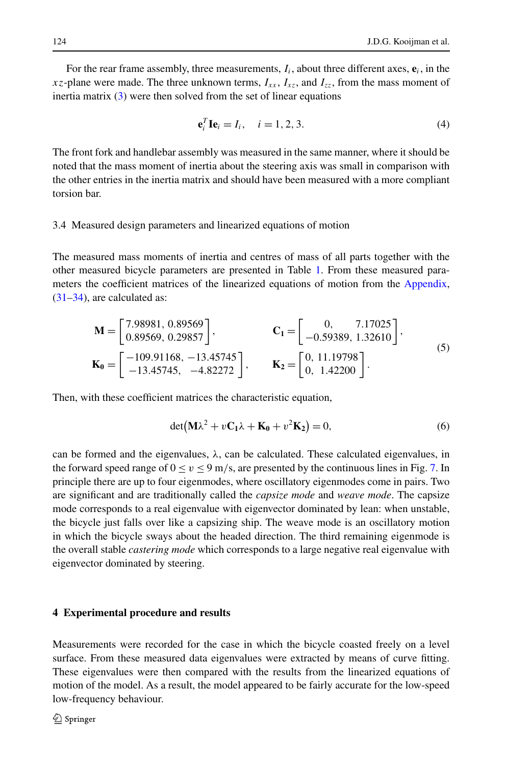For the rear frame assembly, three measurements,  $I_i$ , about three different axes,  $\mathbf{e}_i$ , in the *xz*-plane were made. The three unknown terms,  $I_{xx}$ ,  $I_{xz}$ , and  $I_{zz}$ , from the mass moment of inertia matrix  $(3)$  $(3)$  $(3)$  were then solved from the set of linear equations

$$
\mathbf{e}_i^T \mathbf{I} \mathbf{e}_i = I_i, \quad i = 1, 2, 3. \tag{4}
$$

The front fork and handlebar assembly was measured in the same manner, where it should be noted that the mass moment of inertia about the steering axis was small in comparison with the other entries in the inertia matrix and should have been measured with a more compliant torsion bar.

## 3.4 Measured design parameters and linearized equations of motion

The measured mass moments of inertia and centres of mass of all parts together with the other measured bicycle parameters are presented in Table [1](#page-5-0). From these measured para-meters the coefficient matrices of the linearized equations of motion from the [Appendix](#page-14-0), ([31](#page-15-0)[–34\)](#page-16-0), are calculated as:

$$
\mathbf{M} = \begin{bmatrix} 7.98981, 0.89569 \\ 0.89569, 0.29857 \end{bmatrix}, \qquad \qquad \mathbf{C_1} = \begin{bmatrix} 0, & 7.17025 \\ -0.59389, 1.32610 \end{bmatrix},
$$
\n
$$
\mathbf{K_0} = \begin{bmatrix} -109.91168, -13.45745 \\ -13.45745, & -4.82272 \end{bmatrix}, \qquad \qquad \mathbf{K_2} = \begin{bmatrix} 0, & 11.19798 \\ 0, & 1.42200 \end{bmatrix}.
$$
\n(5)

Then, with these coefficient matrices the characteristic equation,

$$
\det(\mathbf{M}\lambda^2 + v\mathbf{C}_1\lambda + \mathbf{K}_0 + v^2\mathbf{K}_2) = 0,\tag{6}
$$

can be formed and the eigenvalues,  $\lambda$ , can be calculated. These calculated eigenvalues, in the forward speed range of  $0 \le v \le 9$  m/s, are presented by the continuous lines in Fig. [7](#page-13-0). In principle there are up to four eigenmodes, where oscillatory eigenmodes come in pairs. Two are significant and are traditionally called the *capsize mode* and *weave mode*. The capsize mode corresponds to a real eigenvalue with eigenvector dominated by lean: when unstable, the bicycle just falls over like a capsizing ship. The weave mode is an oscillatory motion in which the bicycle sways about the headed direction. The third remaining eigenmode is the overall stable *castering mode* which corresponds to a large negative real eigenvalue with eigenvector dominated by steering.

#### **4 Experimental procedure and results**

Measurements were recorded for the case in which the bicycle coasted freely on a level surface. From these measured data eigenvalues were extracted by means of curve fitting. These eigenvalues were then compared with the results from the linearized equations of motion of the model. As a result, the model appeared to be fairly accurate for the low-speed low-frequency behaviour.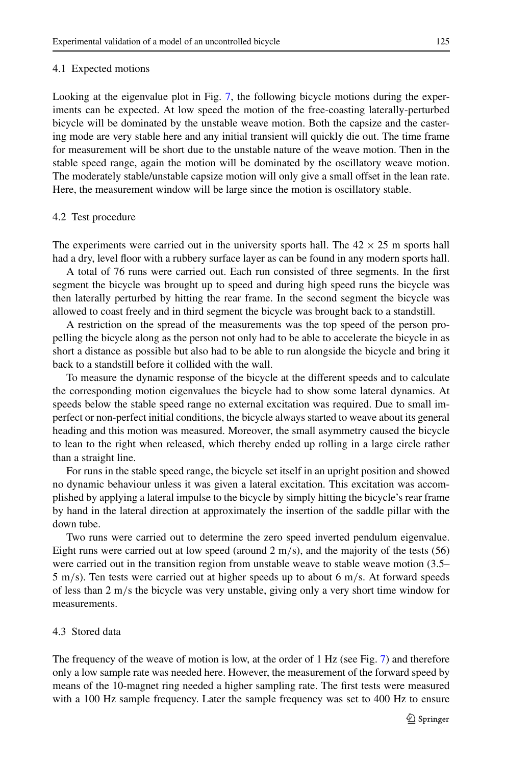#### 4.1 Expected motions

Looking at the eigenvalue plot in Fig. [7,](#page-13-0) the following bicycle motions during the experiments can be expected. At low speed the motion of the free-coasting laterally-perturbed bicycle will be dominated by the unstable weave motion. Both the capsize and the castering mode are very stable here and any initial transient will quickly die out. The time frame for measurement will be short due to the unstable nature of the weave motion. Then in the stable speed range, again the motion will be dominated by the oscillatory weave motion. The moderately stable/unstable capsize motion will only give a small offset in the lean rate. Here, the measurement window will be large since the motion is oscillatory stable.

#### 4.2 Test procedure

The experiments were carried out in the university sports hall. The  $42 \times 25$  m sports hall had a dry, level floor with a rubbery surface layer as can be found in any modern sports hall.

A total of 76 runs were carried out. Each run consisted of three segments. In the first segment the bicycle was brought up to speed and during high speed runs the bicycle was then laterally perturbed by hitting the rear frame. In the second segment the bicycle was allowed to coast freely and in third segment the bicycle was brought back to a standstill.

A restriction on the spread of the measurements was the top speed of the person propelling the bicycle along as the person not only had to be able to accelerate the bicycle in as short a distance as possible but also had to be able to run alongside the bicycle and bring it back to a standstill before it collided with the wall.

To measure the dynamic response of the bicycle at the different speeds and to calculate the corresponding motion eigenvalues the bicycle had to show some lateral dynamics. At speeds below the stable speed range no external excitation was required. Due to small imperfect or non-perfect initial conditions, the bicycle always started to weave about its general heading and this motion was measured. Moreover, the small asymmetry caused the bicycle to lean to the right when released, which thereby ended up rolling in a large circle rather than a straight line.

For runs in the stable speed range, the bicycle set itself in an upright position and showed no dynamic behaviour unless it was given a lateral excitation. This excitation was accomplished by applying a lateral impulse to the bicycle by simply hitting the bicycle's rear frame by hand in the lateral direction at approximately the insertion of the saddle pillar with the down tube.

Two runs were carried out to determine the zero speed inverted pendulum eigenvalue. Eight runs were carried out at low speed (around 2 m*/*s), and the majority of the tests (56) were carried out in the transition region from unstable weave to stable weave motion (3.5– 5 m*/*s). Ten tests were carried out at higher speeds up to about 6 m*/*s. At forward speeds of less than 2 m*/*s the bicycle was very unstable, giving only a very short time window for measurements.

## 4.3 Stored data

The frequency of the weave of motion is low, at the order of 1 Hz (see Fig. [7\)](#page-13-0) and therefore only a low sample rate was needed here. However, the measurement of the forward speed by means of the 10-magnet ring needed a higher sampling rate. The first tests were measured with a 100 Hz sample frequency. Later the sample frequency was set to 400 Hz to ensure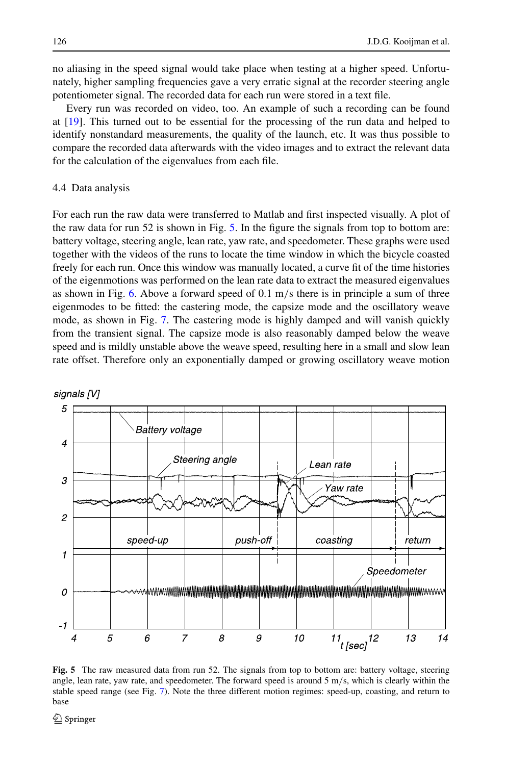<span id="page-11-0"></span>no aliasing in the speed signal would take place when testing at a higher speed. Unfortunately, higher sampling frequencies gave a very erratic signal at the recorder steering angle potentiometer signal. The recorded data for each run were stored in a text file.

Every run was recorded on video, too. An example of such a recording can be found at [\[19\]](#page-17-0). This turned out to be essential for the processing of the run data and helped to identify nonstandard measurements, the quality of the launch, etc. It was thus possible to compare the recorded data afterwards with the video images and to extract the relevant data for the calculation of the eigenvalues from each file.

#### 4.4 Data analysis

For each run the raw data were transferred to Matlab and first inspected visually. A plot of the raw data for run 52 is shown in Fig. 5. In the figure the signals from top to bottom are: battery voltage, steering angle, lean rate, yaw rate, and speedometer. These graphs were used together with the videos of the runs to locate the time window in which the bicycle coasted freely for each run. Once this window was manually located, a curve fit of the time histories of the eigenmotions was performed on the lean rate data to extract the measured eigenvalues as shown in Fig. [6.](#page-12-0) Above a forward speed of 0.1 m*/*s there is in principle a sum of three eigenmodes to be fitted: the castering mode, the capsize mode and the oscillatory weave mode, as shown in Fig. [7.](#page-13-0) The castering mode is highly damped and will vanish quickly from the transient signal. The capsize mode is also reasonably damped below the weave speed and is mildly unstable above the weave speed, resulting here in a small and slow lean rate offset. Therefore only an exponentially damped or growing oscillatory weave motion



**Fig. 5** The raw measured data from run 52. The signals from top to bottom are: battery voltage, steering angle, lean rate, yaw rate, and speedometer. The forward speed is around 5 m*/*s, which is clearly within the stable speed range (see Fig. [7](#page-13-0)). Note the three different motion regimes: speed-up, coasting, and return to base

 $\mathcal{D}$  Springer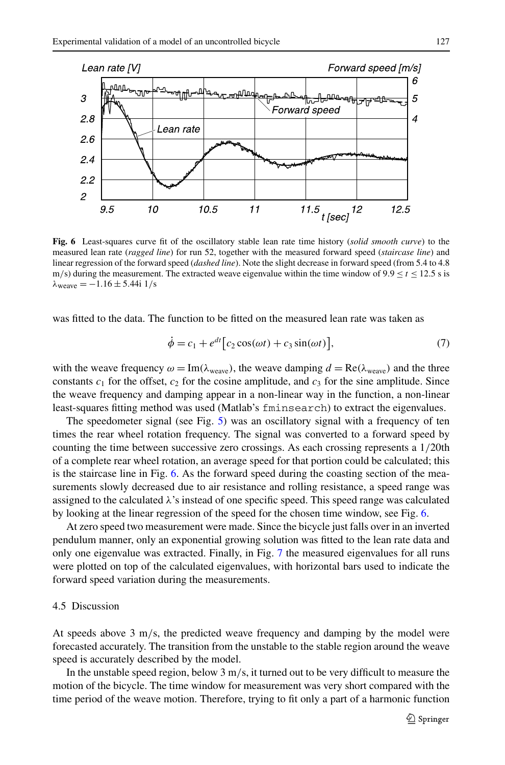<span id="page-12-0"></span>

**Fig. 6** Least-squares curve fit of the oscillatory stable lean rate time history (*solid smooth curve*) to the measured lean rate (*ragged line*) for run 52, together with the measured forward speed (*staircase line*) and linear regression of the forward speed (*dashed line*). Note the slight decrease in forward speed (from 5.4 to 4.8 m/s) during the measurement. The extracted weave eigenvalue within the time window of  $9.9 \le t \le 12.5$  s is *λ*weave = −1*.*16 ± 5*.*44i 1*/*s

was fitted to the data. The function to be fitted on the measured lean rate was taken as

$$
\dot{\phi} = c_1 + e^{dt} \big[ c_2 \cos(\omega t) + c_3 \sin(\omega t) \big],\tag{7}
$$

with the weave frequency  $\omega = \text{Im}(\lambda_{\text{weave}})$ , the weave damping  $d = \text{Re}(\lambda_{\text{weave}})$  and the three constants  $c_1$  for the offset,  $c_2$  for the cosine amplitude, and  $c_3$  for the sine amplitude. Since the weave frequency and damping appear in a non-linear way in the function, a non-linear least-squares fitting method was used (Matlab's fminsearch) to extract the eigenvalues.

The speedometer signal (see Fig. [5](#page-11-0)) was an oscillatory signal with a frequency of ten times the rear wheel rotation frequency. The signal was converted to a forward speed by counting the time between successive zero crossings. As each crossing represents a 1*/*20th of a complete rear wheel rotation, an average speed for that portion could be calculated; this is the staircase line in Fig. 6. As the forward speed during the coasting section of the measurements slowly decreased due to air resistance and rolling resistance, a speed range was assigned to the calculated  $\lambda$ 's instead of one specific speed. This speed range was calculated by looking at the linear regression of the speed for the chosen time window, see Fig. 6.

At zero speed two measurement were made. Since the bicycle just falls over in an inverted pendulum manner, only an exponential growing solution was fitted to the lean rate data and only one eigenvalue was extracted. Finally, in Fig. [7](#page-13-0) the measured eigenvalues for all runs were plotted on top of the calculated eigenvalues, with horizontal bars used to indicate the forward speed variation during the measurements.

#### 4.5 Discussion

At speeds above 3 m*/*s, the predicted weave frequency and damping by the model were forecasted accurately. The transition from the unstable to the stable region around the weave speed is accurately described by the model.

In the unstable speed region, below 3 m*/*s, it turned out to be very difficult to measure the motion of the bicycle. The time window for measurement was very short compared with the time period of the weave motion. Therefore, trying to fit only a part of a harmonic function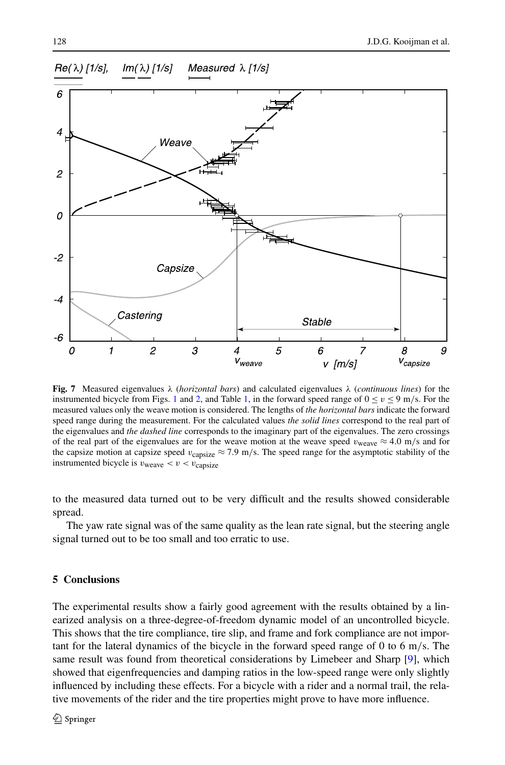

<span id="page-13-0"></span> $Re(\lambda)$  [1/s],  $Im(\lambda)$  [1/s] Measured  $\lambda$  [1/s]

**Fig. 7** Measured eigenvalues *λ* (*horizontal bars*) and calculated eigenvalues *λ* (*continuous lines*) for the instrumented bicycle from Figs. [1](#page-5-0) and [2](#page-2-0), and Table 1, in the forward speed range of  $0 \le v \le 9$  m/s. For the measured values only the weave motion is considered. The lengths of *the horizontal bars* indicate the forward speed range during the measurement. For the calculated values *the solid lines* correspond to the real part of the eigenvalues and *the dashed line* corresponds to the imaginary part of the eigenvalues. The zero crossings of the real part of the eigenvalues are for the weave motion at the weave speed  $v_{\text{weave}} \approx 4.0 \text{ m/s}$  and for the capsize motion at capsize speed  $v_{\text{cansize}} \approx 7.9 \text{ m/s}$ . The speed range for the asymptotic stability of the instrumented bicycle is  $v_{\text{weave}} < v < v_{\text{capsize}}$ 

to the measured data turned out to be very difficult and the results showed considerable spread.

The yaw rate signal was of the same quality as the lean rate signal, but the steering angle signal turned out to be too small and too erratic to use.

## **5 Conclusions**

The experimental results show a fairly good agreement with the results obtained by a linearized analysis on a three-degree-of-freedom dynamic model of an uncontrolled bicycle. This shows that the tire compliance, tire slip, and frame and fork compliance are not important for the lateral dynamics of the bicycle in the forward speed range of 0 to 6 m*/*s. The same result was found from theoretical considerations by Limebeer and Sharp [\[9\]](#page-16-0), which showed that eigenfrequencies and damping ratios in the low-speed range were only slightly influenced by including these effects. For a bicycle with a rider and a normal trail, the relative movements of the rider and the tire properties might prove to have more influence.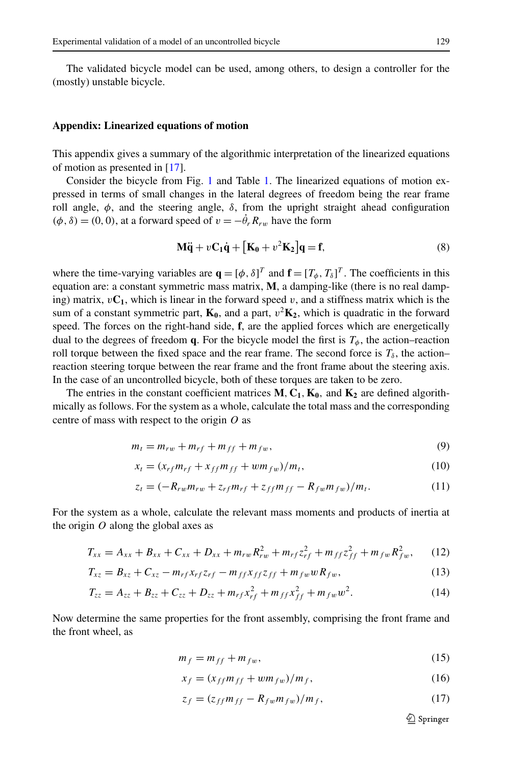<span id="page-14-0"></span>The validated bicycle model can be used, among others, to design a controller for the (mostly) unstable bicycle.

#### **Appendix: Linearized equations of motion**

This appendix gives a summary of the algorithmic interpretation of the linearized equations of motion as presented in [\[17](#page-17-0)].

Consider the bicycle from Fig. [1](#page-1-0) and Table [1](#page-5-0). The linearized equations of motion expressed in terms of small changes in the lateral degrees of freedom being the rear frame roll angle,  $φ$ , and the steering angle,  $δ$ , from the upright straight ahead configuration  $(\phi, \delta) = (0, 0)$ , at a forward speed of  $v = -\dot{\theta}_r R_{rw}$  have the form

$$
\mathbf{M}\ddot{\mathbf{q}} + v\mathbf{C}_1\dot{\mathbf{q}} + \left[\mathbf{K}_0 + v^2\mathbf{K}_2\right]\mathbf{q} = \mathbf{f},\tag{8}
$$

where the time-varying variables are  $\mathbf{q} = [\phi, \delta]^T$  and  $\mathbf{f} = [T_{\phi}, T_{\delta}]^T$ . The coefficients in this equation are: a constant symmetric mass matrix, **M**, a damping-like (there is no real damping) matrix,  $vC_1$ , which is linear in the forward speed  $v$ , and a stiffness matrix which is the sum of a constant symmetric part,  $\mathbf{K}_0$ , and a part,  $v^2 \mathbf{K}_2$ , which is quadratic in the forward speed. The forces on the right-hand side, **f**, are the applied forces which are energetically dual to the degrees of freedom **q**. For the bicycle model the first is  $T_{\phi}$ , the action–reaction roll torque between the fixed space and the rear frame. The second force is  $T_{\delta}$ , the action– reaction steering torque between the rear frame and the front frame about the steering axis. In the case of an uncontrolled bicycle, both of these torques are taken to be zero.

The entries in the constant coefficient matrices  $M$ ,  $C_1$ ,  $K_0$ , and  $K_2$  are defined algorithmically as follows. For the system as a whole, calculate the total mass and the corresponding centre of mass with respect to the origin *O* as

$$
m_t = m_{rw} + m_{rf} + m_{ff} + m_{fw},
$$
\n(9)

$$
x_t = (x_{rf}m_{rf} + x_{ff}m_{ff} + w m_{fw})/m_t, \qquad (10)
$$

$$
z_t = (-R_{rw}m_{rw} + z_{rf}m_{rf} + z_{ff}m_{ff} - R_{fw}m_{fw})/m_t.
$$
 (11)

For the system as a whole, calculate the relevant mass moments and products of inertia at the origin *O* along the global axes as

$$
T_{xx} = A_{xx} + B_{xx} + C_{xx} + D_{xx} + m_{rw}R_{rw}^2 + m_{rf}z_{rf}^2 + m_{ff}z_{ff}^2 + m_{fw}R_{fw}^2, \qquad (12)
$$

$$
T_{xz} = B_{xz} + C_{xz} - m_{rf}x_{rf}z_{rf} - m_{ff}x_{ff}z_{ff} + m_{fw}wR_{fw},
$$
\n(13)

$$
T_{zz} = A_{zz} + B_{zz} + C_{zz} + D_{zz} + m_{rf}x_{rf}^2 + m_{ff}x_{ff}^2 + m_{fw}w^2.
$$
 (14)

Now determine the same properties for the front assembly, comprising the front frame and the front wheel, as

$$
m_f = m_{ff} + m_{fw},\tag{15}
$$

$$
x_f = (x_{ff}m_{ff} + w m_{fw})/m_f, \qquad (16)
$$

$$
z_f = (z_{ff}m_{ff} - R_{fw}m_{fw})/m_f, \qquad (17)
$$

 $\textcircled{2}$  Springer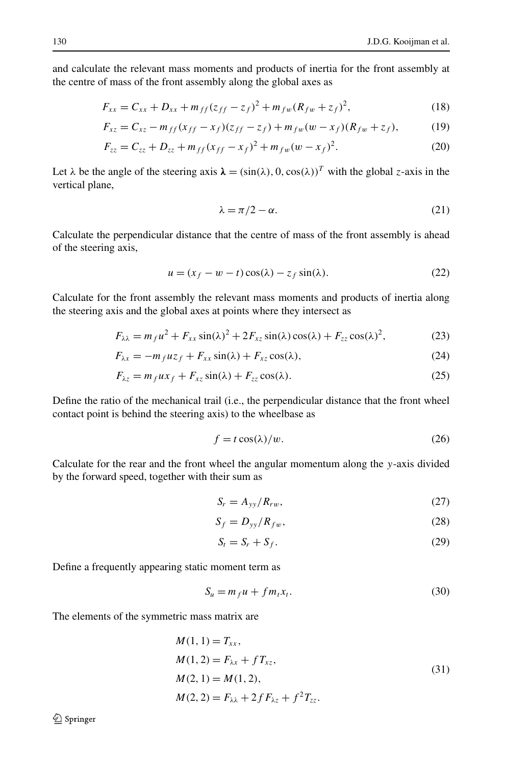<span id="page-15-0"></span>and calculate the relevant mass moments and products of inertia for the front assembly at the centre of mass of the front assembly along the global axes as

$$
F_{xx} = C_{xx} + D_{xx} + m_{ff}(z_{ff} - z_f)^2 + m_{fw}(R_{fw} + z_f)^2,
$$
\n(18)

$$
F_{xz} = C_{xz} - m_{ff}(x_{ff} - x_f)(z_{ff} - z_f) + m_{fw}(w - x_f)(R_{fw} + z_f),
$$
 (19)

$$
F_{zz} = C_{zz} + D_{zz} + m_{ff}(x_{ff} - x_f)^2 + m_{fw}(w - x_f)^2.
$$
 (20)

Let  $\lambda$  be the angle of the steering axis  $\lambda = (\sin(\lambda), 0, \cos(\lambda))^T$  with the global *z*-axis in the vertical plane,

$$
\lambda = \pi/2 - \alpha. \tag{21}
$$

Calculate the perpendicular distance that the centre of mass of the front assembly is ahead of the steering axis,

$$
u = (x_f - w - t)\cos(\lambda) - z_f \sin(\lambda). \tag{22}
$$

Calculate for the front assembly the relevant mass moments and products of inertia along the steering axis and the global axes at points where they intersect as

$$
F_{\lambda\lambda} = m_f u^2 + F_{xx} \sin(\lambda)^2 + 2F_{xz} \sin(\lambda) \cos(\lambda) + F_{zz} \cos(\lambda)^2,
$$
 (23)

$$
F_{\lambda x} = -m_f u z_f + F_{xx} \sin(\lambda) + F_{xz} \cos(\lambda), \tag{24}
$$

$$
F_{\lambda z} = m_f u x_f + F_{xz} \sin(\lambda) + F_{zz} \cos(\lambda). \tag{25}
$$

Define the ratio of the mechanical trail (i.e., the perpendicular distance that the front wheel contact point is behind the steering axis) to the wheelbase as

$$
f = t \cos(\lambda)/w. \tag{26}
$$

Calculate for the rear and the front wheel the angular momentum along the *y*-axis divided by the forward speed, together with their sum as

$$
S_r = A_{yy}/R_{rw},\t\t(27)
$$

$$
S_f = D_{yy}/R_{fw},\tag{28}
$$

$$
S_t = S_r + S_f. \tag{29}
$$

Define a frequently appearing static moment term as

$$
S_u = m_f u + f m_t x_t. \tag{30}
$$

The elements of the symmetric mass matrix are

$$
M(1, 1) = T_{xx},
$$
  
\n
$$
M(1, 2) = F_{\lambda x} + f T_{xz},
$$
  
\n
$$
M(2, 1) = M(1, 2),
$$
  
\n
$$
M(2, 2) = F_{\lambda \lambda} + 2f F_{\lambda z} + f^2 T_{zz}.
$$
\n(31)

2 Springer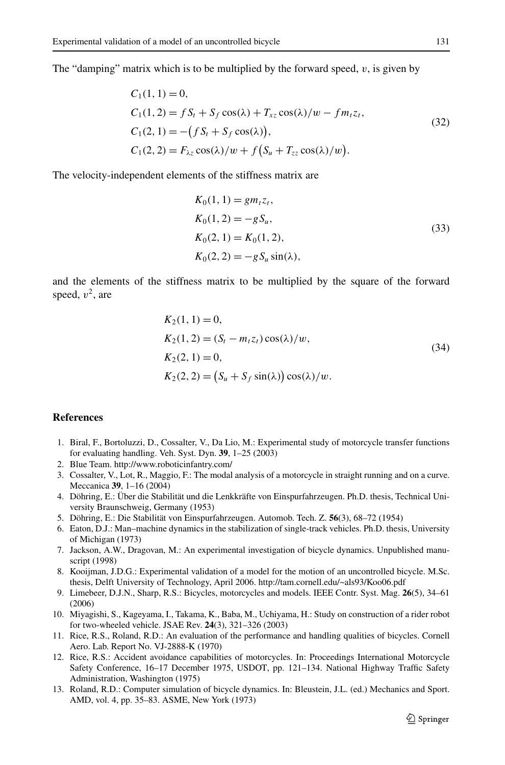<span id="page-16-0"></span>The "damping" matrix which is to be multiplied by the forward speed,  $v$ , is given by

$$
C_1(1, 1) = 0,
$$
  
\n
$$
C_1(1, 2) = f S_t + S_f \cos(\lambda) + T_{xz} \cos(\lambda)/w - f m_t z_t,
$$
  
\n
$$
C_1(2, 1) = -(f S_t + S_f \cos(\lambda)),
$$
  
\n
$$
C_1(2, 2) = F_{\lambda z} \cos(\lambda)/w + f (S_u + T_{zz} \cos(\lambda)/w).
$$
\n(32)

The velocity-independent elements of the stiffness matrix are

$$
K_0(1, 1) = gm_t z_t,
$$
  
\n
$$
K_0(1, 2) = -g S_u,
$$
  
\n
$$
K_0(2, 1) = K_0(1, 2),
$$
  
\n
$$
K_0(2, 2) = -g S_u \sin(\lambda),
$$
  
\n(33)

and the elements of the stiffness matrix to be multiplied by the square of the forward speed,  $v^2$ , are

$$
K_2(1, 1) = 0,
$$
  
\n
$$
K_2(1, 2) = (S_t - m_t z_t) \cos(\lambda)/w,
$$
  
\n
$$
K_2(2, 1) = 0,
$$
  
\n
$$
K_2(2, 2) = (S_u + S_f \sin(\lambda)) \cos(\lambda)/w.
$$
  
\n(34)

# **References**

- 1. Biral, F., Bortoluzzi, D., Cossalter, V., Da Lio, M.: Experimental study of motorcycle transfer functions for evaluating handling. Veh. Syst. Dyn. **39**, 1–25 (2003)
- 2. Blue Team. http://www.roboticinfantry.com/
- 3. Cossalter, V., Lot, R., Maggio, F.: The modal analysis of a motorcycle in straight running and on a curve. Meccanica **39**, 1–16 (2004)
- 4. Döhring, E.: Über die Stabilität und die Lenkkräfte von Einspurfahrzeugen. Ph.D. thesis, Technical University Braunschweig, Germany (1953)
- 5. Döhring, E.: Die Stabilität von Einspurfahrzeugen. Automob. Tech. Z. **56**(3), 68–72 (1954)
- 6. Eaton, D.J.: Man–machine dynamics in the stabilization of single-track vehicles. Ph.D. thesis, University of Michigan (1973)
- 7. Jackson, A.W., Dragovan, M.: An experimental investigation of bicycle dynamics. Unpublished manuscript (1998)
- 8. Kooijman, J.D.G.: Experimental validation of a model for the motion of an uncontrolled bicycle. M.Sc. thesis, Delft University of Technology, April 2006. http://tam.cornell.edu/~als93/Koo06.pdf
- 9. Limebeer, D.J.N., Sharp, R.S.: Bicycles, motorcycles and models. IEEE Contr. Syst. Mag. **26**(5), 34–61 (2006)
- 10. Miyagishi, S., Kageyama, I., Takama, K., Baba, M., Uchiyama, H.: Study on construction of a rider robot for two-wheeled vehicle. JSAE Rev. **24**(3), 321–326 (2003)
- 11. Rice, R.S., Roland, R.D.: An evaluation of the performance and handling qualities of bicycles. Cornell Aero. Lab. Report No. VJ-2888-K (1970)
- 12. Rice, R.S.: Accident avoidance capabilities of motorcycles. In: Proceedings International Motorcycle Safety Conference, 16–17 December 1975, USDOT, pp. 121–134. National Highway Traffic Safety Administration, Washington (1975)
- 13. Roland, R.D.: Computer simulation of bicycle dynamics. In: Bleustein, J.L. (ed.) Mechanics and Sport. AMD, vol. 4, pp. 35–83. ASME, New York (1973)